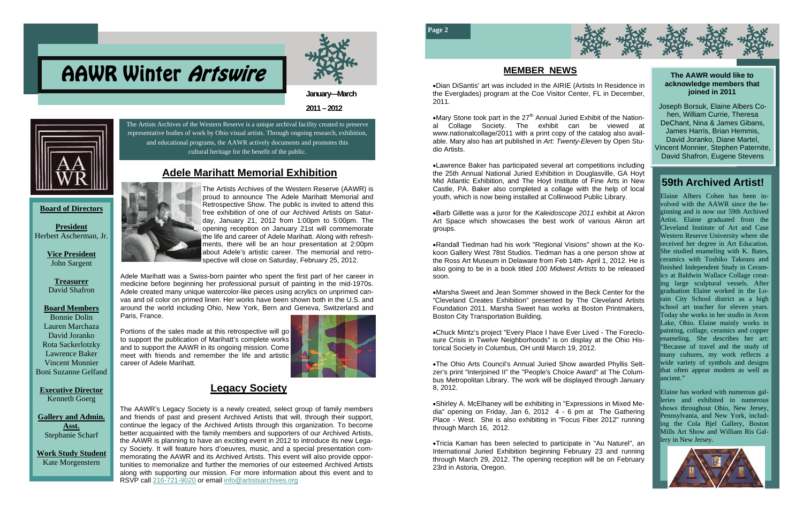The Artists Archives of the Western Reserve is a unique archival facility created to preserve representative bodies of work by Ohio visual artists. Through ongoing research, exhibition,



# **Adele Marihatt Memorial Exhibition**  and educational programs, the AAWR actively documents and promotes this cultural heritage for the benefit of the public.

#### **Board of Directors**

**President**  Herbert Ascherman, Jr.

> **Vice President**  John Sargent

**Treasurer**  David Shafron

#### **Board Members** Bonnie Dolin Lauren Marchaza

David Joranko Rota Sackerlotzky Lawrence Baker Vincent Monnier Boni Suzanne Gelfand

**Executive Director**  Kenneth Goerg

**Gallery and Admin. Asst.**  Stephanie Scharf

**Work Study Student**  Kate Morgenstern



# AAWR Winter Artswire

**2011 – 2012** 

**January—March** 

The AAWR's Legacy Society is a newly created, select group of family members and friends of past and present Archived Artists that will, through their support, continue the legacy of the Archived Artists through this organization. To become better acquainted with the family members and supporters of our Archived Artists, the AAWR is planning to have an exciting event in 2012 to introduce its new Legacy Society. It will feature hors d'oeuvres, music, and a special presentation commemorating the AAWR and its Archived Artists. This event will also provide opportunities to memorialize and further the memories of our esteemed Archived Artists along with supporting our mission. For more information about this event and to RSVP call 216-721-9020 or email [info@artistsarchives.org](https://mail.google.com/mail/h/11d59slaq6yg/?&v=b&cs=wh&to=info@artistsarchives.org)

The Artists Archives of the Western Reserve (AAWR) is proud to announce The Adele Marihatt Memorial and Retrospective Show. The public is invited to attend this free exhibition of one of our Archived Artists on Saturday, January 21, 2012 from 1:00pm to 5:00pm. The opening reception on January 21st will commemorate the life and career of Adele Marihatt. Along with refreshments, there will be an hour presentation at 2:00pm about Adele's artistic career. The memorial and retrospective will close on Saturday, February 25, 2012.

Adele Marihatt was a Swiss-born painter who spent the first part of her career in medicine before beginning her professional pursuit of painting in the mid-1970s. Adele created many unique watercolor-like pieces using acrylics on unprimed canvas and oil color on primed linen. Her works have been shown both in the U.S. and around the world including Ohio, New York, Bern and Geneva, Switzerland and Paris, France.

Portions of the sales made at this retrospective will go to support the publication of Marihatt's complete works and to support the AAWR in its ongoing mission. Come meet with friends and remember the life and artistic career of Adele Marihatt.



• Mary Stone took part in the  $27<sup>th</sup>$  Annual Juried Exhibit of the National Collage Society. The exhibit can be viewed at www.nationalcollage/2011 with a print copy of the catalog also available. Mary also has art published in *Art: Twenty-Eleven* by Open Studio Artists.

# **Legacy Society**

volved with the AAWR since the be-Artist. Elaine graduated from the Cleveland Institute of Art and Case Western Reserve University where she received her degree in Art Education. ceramics with Toshiko Takeazu and finished Independent Study in Ceramics at Baldwin Wallace Collage creatgraduation Elaine worked in the Lorain City School district as a high school art teacher for eleven years. Today she works in her studio in Avon Lake, Omo. Erame manny works in painting, collage, ceramics and copper enameling. She describes her art: "Because of travel and the study of because of travel and the study of many cultures, my work reflects a wide variety of symbols and designs that often appear modern as well as can also profile new employees of the canonical control of the case of the case of the case of the case of the case of the case of the case of the case of the case of the case of the case of the case of the case of the cas Elaine Albers Cohen has been inginning and is now our 59th Archived She studied enameling with K. Bates, ing large sculptural vessels. After Lake, Ohio. Elaine mainly works in

customers or vendors.



**Page 2** 



#### **The AAWR would like to acknowledge members that joined in 2011**

Joseph Borsuk, Elaine Albers Cohen, William Currie, Theresa DeChant, Nina & James Gibans, James Harris, Brian Hemmis, David Joranko, Diane Martel, Vincent Monnier, Stephen Paternite, David Shafron, Eugene Stevens

#### **MEMBER NEWS**

# **59th Archived Artist!**

Dian DiSantis' art was included in the AIRIE (Artists In Residence in the Everglades) program at the Coe Visitor Center, FL in December, 2011.

Lawrence Baker has participated several art competitions including the 25th Annual National Juried Exhibition in Douglasville, GA Hoyt Mid Atlantic Exhibition, and The Hoyt Institute of Fine Arts in New Castle, PA. Baker also completed a collage with the help of local youth, which is now being installed at Collinwood Public Library.

Barb Gillette was a juror for the *Kaleidoscope 2011* exhibit at Akron Art Space which showcases the best work of various Akron art groups.

Randall Tiedman had his work "Regional Visions" shown at the Kokoon Gallery West 78st Studios. Tiedman has a one person show at the Ross Art Museum in Delaware from Feb 14th- April 1, 2012. He is also going to be in a book titled *100 Midwest Artists* to be released soon.

Marsha Sweet and Jean Sommer showed in the Beck Center for the "Cleveland Creates Exhibition" presented by The Cleveland Artists Foundation 2011. Marsha Sweet has works at Boston Printmakers, Boston City Transportation Building.

Chuck Mintz's project "Every Place I have Ever Lived - The Foreclosure Crisis in Twelve Neighborhoods" is on display at the Ohio Historical Society in Columbus, OH until March 19, 2012.

> Elaine has worked with numerous galleries and exhibited in numerous shows throughout Ohio, New Jersey, Pennsylvania, and New York, including the Cola Bjel Gallery, Boston Mills Art Show and William Ris Gallery in New Jersey.

The Ohio Arts Council's Annual Juried Show awarded Phyllis Seltzer's print "Interjoined II" the "People's Choice Award" at The Columbus Metropolitan Library. The work will be displayed through January 8, 2012.

Shirley A. McElhaney will be exhibiting in "Expressions in Mixed Media" opening on Friday, Jan 6, 2012 4 - 6 pm at The Gathering Place - West. She is also exhibiting in "Focus Fiber 2012" running through March 16, 2012.

Tricia Kaman has been selected to participate in "Au Naturel", an International Juried Exhibition beginning February 23 and running through March 29, 2012. The opening reception will be on February 23rd in Astoria, Oregon.